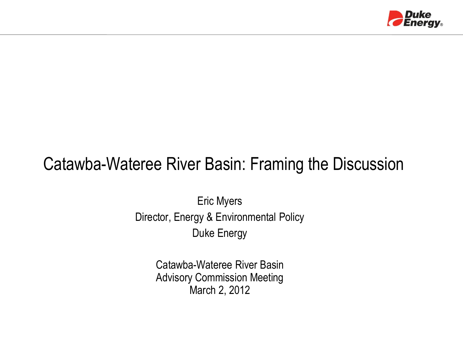

#### Catawba-Wateree River Basin: Framing the Discussion

Eric Myers Director, Energy & Environmental Policy Duke Energy

> Catawba-Wateree River Basin Advisory Commission Meeting March 2, 2012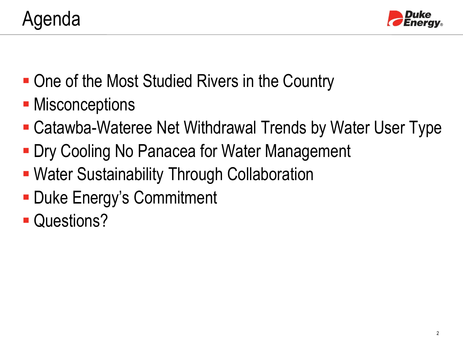

- One of the Most Studied Rivers in the Country
- **Misconceptions**
- Catawba-Wateree Net Withdrawal Trends by Water User Type
- **Dry Cooling No Panacea for Water Management**
- Water Sustainability Through Collaboration
- **Duke Energy's Commitment**
- **Questions?**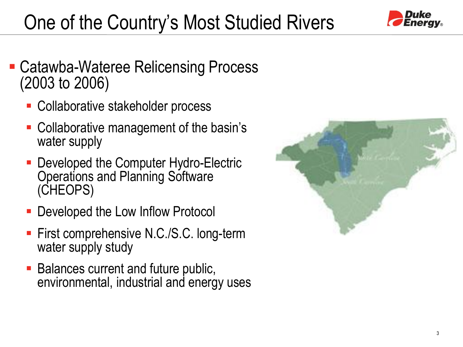# One of the Country's Most Studied Rivers



- Catawba-Wateree Relicensing Process (2003 to 2006)
	- Collaborative stakeholder process
	- Collaborative management of the basin's water supply
	- Developed the Computer Hydro-Electric Operations and Planning Software (CHEOPS)
	- Developed the Low Inflow Protocol
	- First comprehensive N.C./S.C. long-term water supply study
	- Balances current and future public, environmental, industrial and energy uses

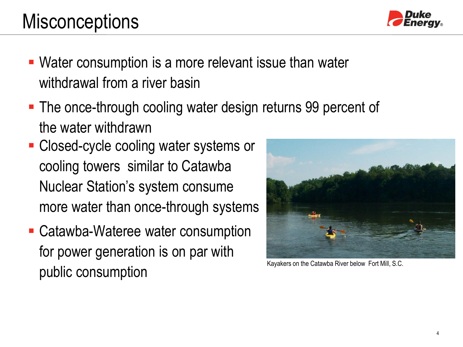## **Misconceptions**

- Water consumption is a more relevant issue than water withdrawal from a river basin
- The once-through cooling water design returns 99 percent of the water withdrawn
- **Closed-cycle cooling water systems or** cooling towers similar to Catawba Nuclear Station's system consume more water than once-through systems
- Catawba-Wateree water consumption for power generation is on par with public consumption





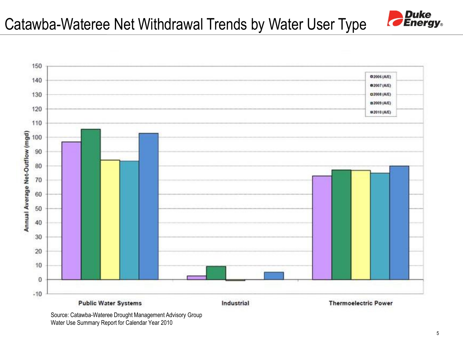



Source: Catawba-Wateree Drought Management Advisory Group Water Use Summary Report for Calendar Year 2010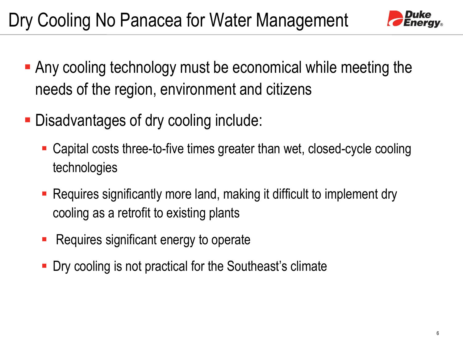

- Any cooling technology must be economical while meeting the needs of the region, environment and citizens
- Disadvantages of dry cooling include:
	- Capital costs three-to-five times greater than wet, closed-cycle cooling technologies
	- Requires significantly more land, making it difficult to implement dry cooling as a retrofit to existing plants
	- Requires significant energy to operate
	- **-** Dry cooling is not practical for the Southeast's climate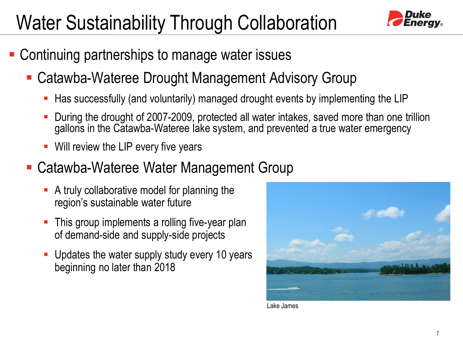## Water Sustainability Through Collaboration



- Continuing partnerships to manage water issues
	- Catawba-Wateree Drought Management Advisory Group
		- Has successfully (and voluntarily) managed drought events by implementing the LIP
		- During the drought of 2007-2009, protected all water intakes, saved more than one trillion gallons in the Catawba-Wateree lake system, and prevented a true water emergency
		- Will review the LIP every five years
	- Catawba-Wateree Water Management Group
		- A truly collaborative model for planning the region's sustainable water future
		- This group implements a rolling five-year plan of demand-side and supply-side projects
		- Updates the water supply study every 10 years beginning no later than 2018



Lake James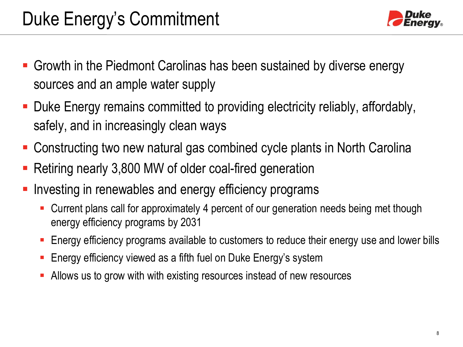

- Growth in the Piedmont Carolinas has been sustained by diverse energy sources and an ample water supply
- Duke Energy remains committed to providing electricity reliably, affordably, safely, and in increasingly clean ways
- Constructing two new natural gas combined cycle plants in North Carolina
- Retiring nearly 3,800 MW of older coal-fired generation
- Investing in renewables and energy efficiency programs
	- Current plans call for approximately 4 percent of our generation needs being met though energy efficiency programs by 2031
	- Energy efficiency programs available to customers to reduce their energy use and lower bills
	- **Energy efficiency viewed as a fifth fuel on Duke Energy's system**
	- Allows us to grow with with existing resources instead of new resources